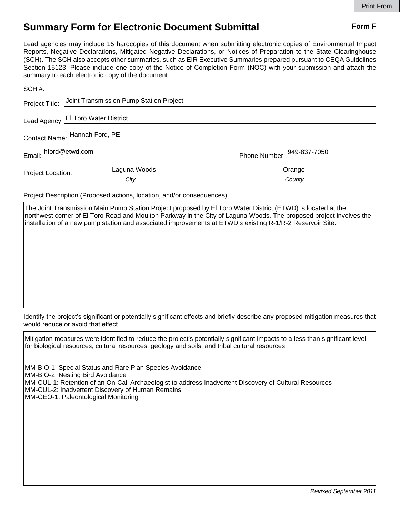## **Summary Form for Electronic Document Submittal Form F Form F**

Lead agencies may include 15 hardcopies of this document when submitting electronic copies of Environmental Impact Reports, Negative Declarations, Mitigated Negative Declarations, or Notices of Preparation to the State Clearinghouse (SCH). The SCH also accepts other summaries, such as EIR Executive Summaries prepared pursuant to CEQA Guidelines Section 15123. Please include one copy of the Notice of Completion Form (NOC) with your submission and attach the summary to each electronic copy of the document.

|                                     | Project Title: Joint Transmission Pump Station Project |                            |
|-------------------------------------|--------------------------------------------------------|----------------------------|
| Lead Agency: El Toro Water District |                                                        |                            |
| Contact Name: Hannah Ford, PE       |                                                        |                            |
| Email: hford@etwd.com               |                                                        | Phone Number: 949-837-7050 |
| Project Location: _________         | Laguna Woods                                           | Orange                     |
|                                     | City                                                   | County                     |

Project Description (Proposed actions, location, and/or consequences).

The Joint Transmission Main Pump Station Project proposed by El Toro Water District (ETWD) is located at the northwest corner of El Toro Road and Moulton Parkway in the City of Laguna Woods. The proposed project involves the installation of a new pump station and associated improvements at ETWD's existing R-1/R-2 Reservoir Site.

Identify the project's significant or potentially significant effects and briefly describe any proposed mitigation measures that would reduce or avoid that effect.

Mitigation measures were identified to reduce the project's potentially significant impacts to a less than significant level for biological resources, cultural resources, geology and soils, and tribal cultural resources. MM-BIO-1: Special Status and Rare Plan Species Avoidance MM-BIO-2: Nesting Bird Avoidance MM-CUL-1: Retention of an On-Call Archaeologist to address Inadvertent Discovery of Cultural Resources MM-CUL-2: Inadvertent Discovery of Human Remains MM-GEO-1: Paleontological Monitoring